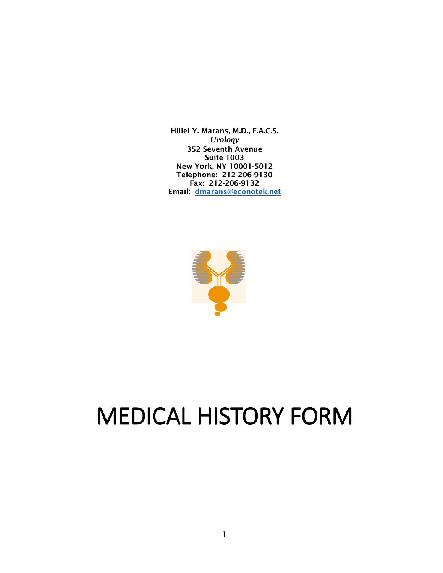Hillel Y. Marans, M.D., F.A.C.S. *Urology* 352 Seventh Avenue Suite 1003 New York, NY 10001-5012 Telephone: 212-206-9130 Fax: 212-206-9132 Email: [dmarans@econotek.net](mailto:dmarans@econotek.net)



# MEDICAL HISTORY FORM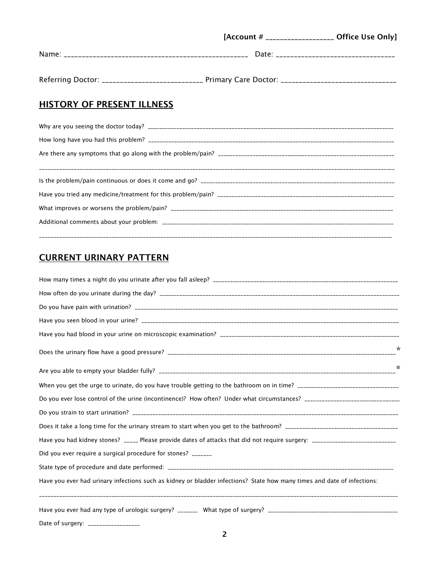|                      |       | [Account # ___________________ Office Use Only]                                                                 |
|----------------------|-------|-----------------------------------------------------------------------------------------------------------------|
| Name:                | Date: | and a construction of the contract of the contract of the contract of the contract of the contract of the contr |
| Referring Doctor: __ |       |                                                                                                                 |

# **HISTORY OF PRESENT ILLNESS**

# CURRENT URINARY PATTERN

|                                                                                                                              | $\star$ |  |  |
|------------------------------------------------------------------------------------------------------------------------------|---------|--|--|
|                                                                                                                              | $\star$ |  |  |
|                                                                                                                              |         |  |  |
|                                                                                                                              |         |  |  |
|                                                                                                                              |         |  |  |
|                                                                                                                              |         |  |  |
| Have you had kidney stones? _____ Please provide dates of attacks that did not require surgery: ____________________________ |         |  |  |
| Did you ever require a surgical procedure for stones? _______                                                                |         |  |  |
|                                                                                                                              |         |  |  |
| Have you ever had urinary infections such as kidney or bladder infections? State how many times and date of infections:      |         |  |  |
|                                                                                                                              |         |  |  |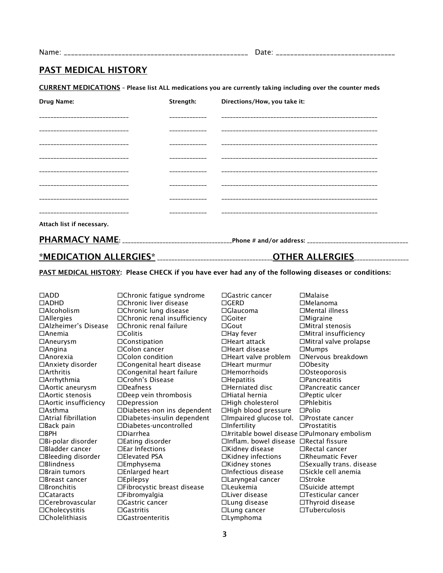Name: \_\_\_\_\_\_\_\_\_\_\_\_\_\_\_\_\_\_\_\_\_\_\_\_\_\_\_\_\_\_\_\_\_\_\_\_\_\_\_\_\_\_\_\_\_\_\_\_\_\_\_ Date: \_\_\_\_\_\_\_\_\_\_\_\_\_\_\_\_\_\_\_\_\_\_\_\_\_\_\_\_\_\_\_\_\_

## PAST MEDICAL HISTORY

CURRENT MEDICATIONS – Please list ALL medications you are currently taking including over the counter meds

| Drug Name:                   | Strength:     | Directions/How, you take it: |
|------------------------------|---------------|------------------------------|
|                              |               |                              |
|                              |               |                              |
|                              | ------------- |                              |
| ---------------------------- |               |                              |
|                              |               |                              |
|                              |               |                              |
|                              |               |                              |
|                              |               |                              |
| Attach list if necessary.    |               |                              |
|                              |               |                              |

\*MEDICATION ALLERGIES\* \_\_\_\_\_\_\_\_\_\_\_\_\_\_\_\_\_\_\_\_\_\_\_\_\_\_\_\_\_\_\_\_\_\_\_\_\_\_\_\_OTHER ALLERGIES\_\_\_\_\_\_\_\_\_\_\_\_\_\_\_\_\_\_\_

PAST MEDICAL HISTORY: Please CHECK if you have ever had any of the following diseases or conditions:

Cholelithiasis Gastroenteritis Lymphoma

 $\Box$ Alzheimer's Disease  $\Box$ Chronic renal failure  $\Box$   $\Box$  Gout

ADD Chronic fatigue syndrome Gastric cancer Malaise □Chronic liver disease GERD GERD Melanoma Alcoholism Chronic lung disease Glaucoma Mental illness  $\Box$ Allergies  $\Box$ Chronic renal insufficiency  $\Box$  Goiter  $\Box$  Migraine  $\Box$ Alzheimer's Disease  $\Box$ Chronic renal failure  $\Box$  Gout  $\Box$  Mitral stenosis Anemia Colitis Hay fever Mitral insufficiency  $\Box$ Aneurysm  $\Box$ Constipation  $\Box$ Heart attack  $\Box$ Mitral valve prolapse  $\Box$ Angina  $\Box$ Colon cancer  $\Box$ Heart disease  $\Box$ Mumps Anorexia Colon condition Heart valve problem Nervous breakdown  $\Box$ Anxiety disorder  $\Box$ Congenital heart disease  $\Box$ Heart murmur  $\Box$ Obesity Arthritis Congenital heart failure Hemorrhoids Osteoporosis  $\Box$ Arrhythmia  $\Box$ Crohn's Disease  $\Box$ Hepatitis  $\Box$ Pancreatitis Aortic aneurysm Deafness Herniated disc Pancreatic cancer  $\Box$ Aortic stenosis  $\Box$ Deep vein thrombosis  $\Box$ Hiatal hernia  $\Box$ Peptic ulcer  $\Box$ Aortic insufficiency  $\Box$ Depression  $\Box$ High cholesterol  $\Box$ Phlebitis Asthma Diabetes-non ins dependent High blood pressure Polio  $\Box$ Atrial fibrillation  $\Box$ Diabetes-insulin dependent  $\Box$ Impaired glucose tol.  $\Box$ Prostate cancer  $\Box$ Back pain  $\Box$ Diabetes-uncontrolled  $\Box$ Infertility  $\Box$ Prostatitis BPH Diarrhea *I*rritabl*e* bowel disease Pulmonary embolism Bi-polar disorder Eating disorder Inflam. bowel disease Rectal fissure Bladder cancer Ear Infections Kidney disease Rectal cancer Bleeding disorder Elevated PSA Kidney infections Rheumatic Fever  $\Box$ Blindness  $\Box$ Emphysema  $\Box$ Kidney stones  $\Box$ Sexually trans. disease  $\Box$ Brain tumors  $\Box$ Enlarged heart  $\Box$ Infectious disease  $\Box$ Sickle cell anemia  $\Box$ Breast cancer  $\Box$ Epilepsy  $\Box$ Laryngeal cancer  $\Box$ Stroke Bronchitis Fibrocystic breast disease Leukemia Suicide attempt Cataracts Fibromyalgia Liver disease Testicular cancer Cerebrovascular Gastric cancer Lung disease Thyroid disease Cholecystitis Gastritis Lung cancer Tuberculosis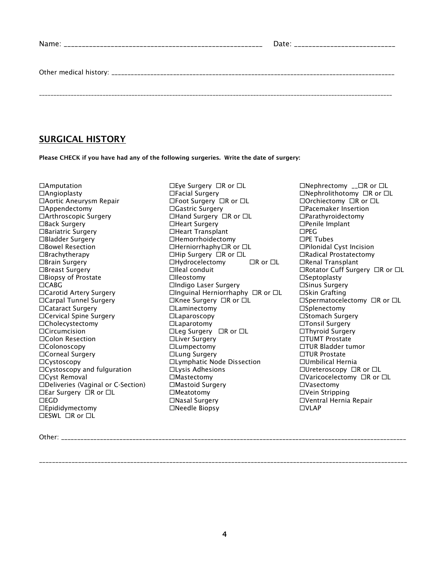| Date: _____________________________ |
|-------------------------------------|
|                                     |
|                                     |

# SURGICAL HISTORY

Please CHECK if you have had any of the following surgeries. Write the date of surgery:

 $\Box$ Amputation  $\Box$  Eye Surgery  $\Box$  R or  $\Box$  L  $\Box$  Nephrectomy  $\Box$  R or  $\Box$  L Colon Resection Liver Surgery TUMT Prostate  $\Box$ Cystoscopy and fulguration  $\Box$ ESWL  $\Box$ R or  $\Box$ L

Dangioplasty Dephrolithotomy DR or DL Dephrolithotomy DR or DL<br>Dangioplasty Depair DEFOOt Surgery DR or DL DOrchiectomy DR or DL DAOrthiectomy DR or DL Aortic Aneurysm Repair Foot Surgery R or L Orchiectomy R or L Appendectomy Gastric Surgery Pacemaker Insertion □Arthroscopic Surgery <br>
□Hand Surgery □R or □L □Parathyroidectomy Back Surgery Heart Surgery Penile Implant Bariatric Surgery Heart Transplant PEG Bladder Surgery Hemorrhoidectomy PE Tubes  $\Box$ Herniorrhaphy $\Box$ R or  $\Box$ L Brachytherapy Hip Surgery R or L Radical Prostatectomy □Brain Surgery THydrocelectomy DR or DL DRenal Transplant □Breast Surgery TR or コレントン Illeal conduit The Surgery Conduit The Surgery Conduit □Biopsy of Prostate Tilleostomy Septoplasty Septoplasty □CABG Indigo Laser Surgery Sinus Surgery Sinus Surgery Sinus Surgery Sinus Surgery □Carotid Artery Surgery <br>
□Inguinal Herniorrhaphy □R or □L □Skin Grafting Carpal Tunnel Surgery Knee Surgery R or L Spermatocelectomy R or L Cataract Surgery Laminectomy Splenectomy □Cervical Spine Surgery Stomach Surgery DLaparoscopy Stomach Surgery Stomach Surgery Cholecystectomy Laparotomy Tonsil Surgery Circumcision Leg Surgery R or L Thyroid Surgery □ Lumpectomy Dumpectomy DULumpectomy DULumpectomy DULumpectomy DUR Bladder tumor<br>□ DTUR Prostate Corneal Surgery Lung Surgery TUR Prostate  $\Box$ Cystoscopy  $\Box$ Lymphatic Node Dissection  $\Box$ Umbilical Hernia  $\Box$ Cystoscopy  $\Box$ R or  $\Box$ L $\Box$ Lysis Adhesions  $\Box$ Ureteroscopy  $\Box$ R or  $\Box$ L Cyst Removal Mastectomy Varicocelectomy R or L  $\square$ Deliveries (Vaginal or C-Section)  $\square$ Mastoid Surgery  $\square$  Vasectomy Ear Surgery R or L Meatotomy Vein Stripping EGD Nasal Surgery Ventral Hernia Repair □Epididymectomy → □Needle Biopsy → □VLAP

Other: \_\_\_\_\_\_\_\_\_\_\_\_\_\_\_\_\_\_\_\_\_\_\_\_\_\_\_\_\_\_\_\_\_\_\_\_\_\_\_\_\_\_\_\_\_\_\_\_\_\_\_\_\_\_\_\_\_\_\_\_\_\_\_\_\_\_\_\_\_\_\_\_\_\_\_\_\_\_\_\_\_\_\_\_\_\_\_\_\_\_\_\_\_\_\_\_\_\_\_\_\_\_\_\_\_\_

\_\_\_\_\_\_\_\_\_\_\_\_\_\_\_\_\_\_\_\_\_\_\_\_\_\_\_\_\_\_\_\_\_\_\_\_\_\_\_\_\_\_\_\_\_\_\_\_\_\_\_\_\_\_\_\_\_\_\_\_\_\_\_\_\_\_\_\_\_\_\_\_\_\_\_\_\_\_\_\_\_\_\_\_\_\_\_\_\_\_\_\_\_\_\_\_\_\_\_\_\_\_\_\_\_\_\_\_\_\_\_\_\_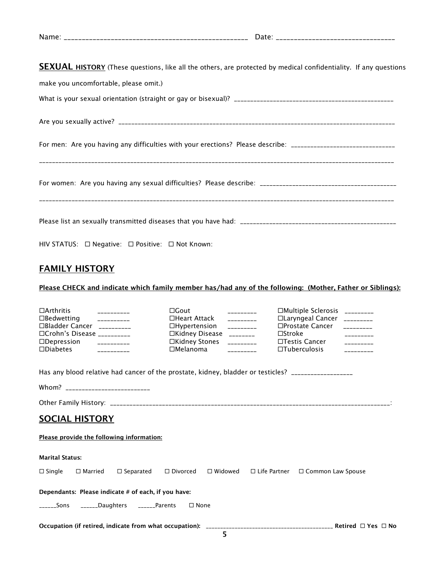|  | $\sim$ uc $\sim$ |
|--|------------------|
|--|------------------|

**SEXUAL HISTORY** (These questions, like all the others, are protected by medical confidentiality. If any questions

| make you uncomfortable, please omit.)                                                                          |
|----------------------------------------------------------------------------------------------------------------|
|                                                                                                                |
|                                                                                                                |
| For men: Are you having any difficulties with your erections? Please describe: _______________________________ |
|                                                                                                                |
|                                                                                                                |
| HIV STATUS: □ Negative: □ Positive: □ Not Known:                                                               |

# FAMILY HISTORY

### Please CHECK and indicate which family member has/had any of the following: (Mother, Father or Siblings):

| $\Box$ Arthritis<br>$- - - - - - - - -$                                                             | $\Box$ Gout                         | $- - - - - - - -$ | □Multiple Sclerosis _________                |                   |
|-----------------------------------------------------------------------------------------------------|-------------------------------------|-------------------|----------------------------------------------|-------------------|
| $\Box$ Bedwetting<br>$- - - - - - - - -$                                                            | □Heart Attack                       | $- - - - - - - -$ | □Laryngeal Cancer _________                  |                   |
| □Bladder Cancer __________                                                                          | $\Box$ Hypertension                 | ----------        | □Prostate Cancer                             | $- - - - - - - -$ |
| □Crohn's Disease __________                                                                         | □Kidney Disease                     | $\frac{1}{1}$     | $\square$ Stroke                             | $- - - - - - - -$ |
| $\Box$ Depression                                                                                   | □Kidney Stones                      |                   | $\Box$ Testis Cancer                         |                   |
| $\square$ Diabetes<br>$- - - - - - - - -$                                                           | $\Box$ Melanoma                     | $---------$       | $\square$ Tuberculosis                       | $- - - - - - - -$ |
| Has any blood relative had cancer of the prostate, kidney, bladder or testicles? __________________ |                                     |                   |                                              |                   |
| Whom? ___________________________                                                                   |                                     |                   |                                              |                   |
|                                                                                                     |                                     |                   |                                              |                   |
| <b>SOCIAL HISTORY</b>                                                                               |                                     |                   |                                              |                   |
| Please provide the following information:                                                           |                                     |                   |                                              |                   |
| <b>Marital Status:</b>                                                                              |                                     |                   |                                              |                   |
| $\Box$ Single<br>$\Box$ Married                                                                     | $\Box$ Separated<br>$\Box$ Divorced | $\Box$ Widowed    | $\Box$ Life Partner $\Box$ Common Law Spouse |                   |
| Dependants: Please indicate # of each, if you have:                                                 |                                     |                   |                                              |                   |
| ______Sons ______Daughters ______Parents                                                            | $\square$ None                      |                   |                                              |                   |
|                                                                                                     |                                     |                   |                                              |                   |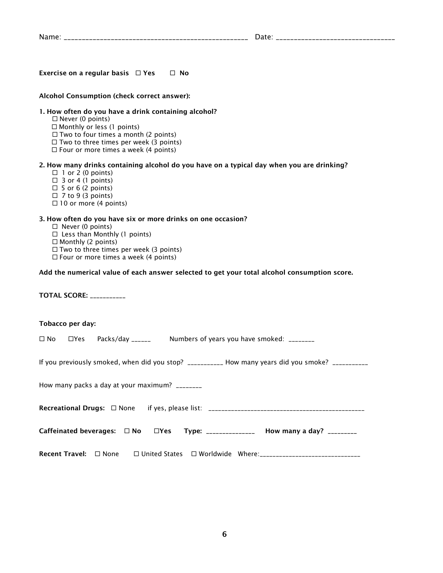|  | _____________________ |
|--|-----------------------|
|--|-----------------------|

Exercise on a regular basis  $\Box$  Yes  $\Box$  No

#### Alcohol Consumption (check correct answer):

#### 1. How often do you have a drink containing alcohol?

- $\square$  Never (0 points)
- □ Monthly or less (1 points)
- $\Box$  Two to four times a month (2 points)
- $\Box$  Two to three times per week (3 points)
- $\Box$  Four or more times a week (4 points)

#### 2. How many drinks containing alcohol do you have on a typical day when you are drinking?

- $\Box$  1 or 2 (0 points)
- $\Box$  3 or 4 (1 points)
- $\Box$  5 or 6 (2 points)
- $\Box$  7 to 9 (3 points)
- $\Box$  10 or more (4 points)

#### 3. How often do you have six or more drinks on one occasion?

- $\square$  Never (0 points)
- $\square$  Less than Monthly (1 points)
- $\Box$  Monthly (2 points)
- $\Box$  Two to three times per week (3 points)
- $\Box$  Four or more times a week (4 points)

#### Add the numerical value of each answer selected to get your total alcohol consumption score.

TOTAL SCORE: \_\_\_\_\_\_\_\_\_\_\_

#### Tobacco per day:

|  |                                                | $\square$ No $\square$ Yes Packs/day ______ Numbers of years you have smoked: ________ |                                                                                                    |
|--|------------------------------------------------|----------------------------------------------------------------------------------------|----------------------------------------------------------------------------------------------------|
|  |                                                |                                                                                        | If you previously smoked, when did you stop? ___________ How many years did you smoke? ___________ |
|  | How many packs a day at your maximum? ________ |                                                                                        |                                                                                                    |
|  |                                                |                                                                                        |                                                                                                    |
|  |                                                | Caffeinated beverages: □ No □ Yes Type: _______________ How many a day? _________      |                                                                                                    |
|  |                                                |                                                                                        | Recent Travel: □ None □ United States □ Worldwide Where:_____________________________              |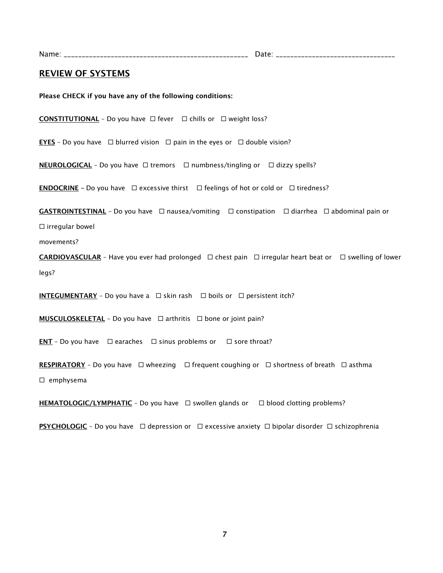Name: \_\_\_\_\_\_\_\_\_\_\_\_\_\_\_\_\_\_\_\_\_\_\_\_\_\_\_\_\_\_\_\_\_\_\_\_\_\_\_\_\_\_\_\_\_\_\_\_\_\_\_ Date: \_\_\_\_\_\_\_\_\_\_\_\_\_\_\_\_\_\_\_\_\_\_\_\_\_\_\_\_\_\_\_\_\_

#### REVIEW OF SYSTEMS

Please CHECK if you have any of the following conditions:

**CONSTITUTIONAL** - Do you have  $\Box$  fever  $\Box$  chills or  $\Box$  weight loss?

**EYES** - Do you have  $\Box$  blurred vision  $\Box$  pain in the eyes or  $\Box$  double vision?

**NEUROLOGICAL** - Do you have  $\Box$  tremors  $\Box$  numbness/tingling or  $\Box$  dizzy spells?

**ENDOCRINE** - Do you have  $\Box$  excessive thirst  $\Box$  feelings of hot or cold or  $\Box$  tiredness?

**GASTROINTESTINAL** - Do you have  $\Box$  nausea/vomiting  $\Box$  constipation  $\Box$  diarrhea  $\Box$  abdominal pain or  $\square$  irregular bowel

movements?

**CARDIOVASCULAR** - Have you ever had prolonged  $\Box$  chest pain  $\Box$  irregular heart beat or  $\Box$  swelling of lower legs?

**INTEGUMENTARY** – Do you have a  $\Box$  skin rash  $\Box$  boils or  $\Box$  persistent itch?

**MUSCULOSKELETAL** - Do you have  $\Box$  arthritis  $\Box$  bone or joint pain?

**ENT** - Do you have  $\Box$  earaches  $\Box$  sinus problems or  $\Box$  sore throat?

RESPIRATORY - Do you have  $\Box$  wheezing  $\Box$  frequent coughing or  $\Box$  shortness of breath  $\Box$  asthma  $\square$  emphysema

**HEMATOLOGIC/LYMPHATIC** - Do you have  $\Box$  swollen glands or  $\Box$  blood clotting problems?

**PSYCHOLOGIC** - Do you have  $\Box$  depression or  $\Box$  excessive anxiety  $\Box$  bipolar disorder  $\Box$  schizophrenia